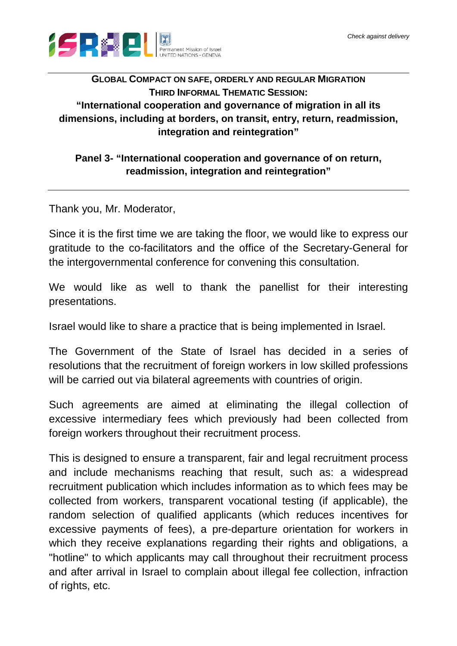

## **GLOBAL COMPACT ON SAFE, ORDERLY AND REGULAR MIGRATION THIRD INFORMAL THEMATIC SESSION: "International cooperation and governance of migration in all its dimensions, including at borders, on transit, entry, return, readmission, integration and reintegration"**

## **Panel 3- "International cooperation and governance of on return, readmission, integration and reintegration"**

Thank you, Mr. Moderator,

Since it is the first time we are taking the floor, we would like to express our gratitude to the co-facilitators and the office of the Secretary-General for the intergovernmental conference for convening this consultation.

We would like as well to thank the panellist for their interesting presentations.

Israel would like to share a practice that is being implemented in Israel.

The Government of the State of Israel has decided in a series of resolutions that the recruitment of foreign workers in low skilled professions will be carried out via bilateral agreements with countries of origin.

Such agreements are aimed at eliminating the illegal collection of excessive intermediary fees which previously had been collected from foreign workers throughout their recruitment process.

This is designed to ensure a transparent, fair and legal recruitment process and include mechanisms reaching that result, such as: a widespread recruitment publication which includes information as to which fees may be collected from workers, transparent vocational testing (if applicable), the random selection of qualified applicants (which reduces incentives for excessive payments of fees), a pre-departure orientation for workers in which they receive explanations regarding their rights and obligations, a "hotline" to which applicants may call throughout their recruitment process and after arrival in Israel to complain about illegal fee collection, infraction of rights, etc.